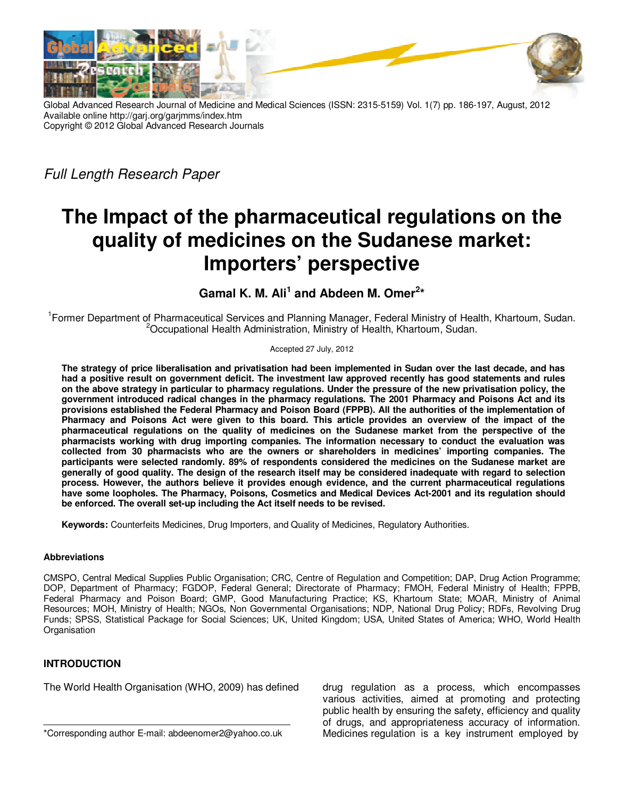

Global Advanced Research Journal of Medicine and Medical Sciences (ISSN: 2315-5159) Vol. 1(7) pp. 186-197, August, 2012 Available online http://garj.org/garjmms/index.htm Copyright © 2012 Global Advanced Research Journals

Full Length Research Paper

# **The Impact of the pharmaceutical regulations on the quality of medicines on the Sudanese market: Importers' perspective**

## Gamal K. M. Ali<sup>1</sup> and Abdeen M. Omer<sup>2\*</sup>

<sup>1</sup> Former Department of Pharmaceutical Services and Planning Manager, Federal Ministry of Health, Khartoum, Sudan. <sup>2</sup>Occupational Health Administration, Ministry of Health, Khartoum, Sudan.

#### Accepted 27 July, 2012

**The strategy of price liberalisation and privatisation had been implemented in Sudan over the last decade, and has had a positive result on government deficit. The investment law approved recently has good statements and rules on the above strategy in particular to pharmacy regulations. Under the pressure of the new privatisation policy, the government introduced radical changes in the pharmacy regulations. The 2001 Pharmacy and Poisons Act and its provisions established the Federal Pharmacy and Poison Board (FPPB). All the authorities of the implementation of Pharmacy and Poisons Act were given to this board. This article provides an overview of the impact of the pharmaceutical regulations on the quality of medicines on the Sudanese market from the perspective of the pharmacists working with drug importing companies. The information necessary to conduct the evaluation was collected from 30 pharmacists who are the owners or shareholders in medicines' importing companies. The participants were selected randomly. 89% of respondents considered the medicines on the Sudanese market are generally of good quality. The design of the research itself may be considered inadequate with regard to selection process. However, the authors believe it provides enough evidence, and the current pharmaceutical regulations have some loopholes. The Pharmacy, Poisons, Cosmetics and Medical Devices Act-2001 and its regulation should be enforced. The overall set-up including the Act itself needs to be revised.** 

**Keywords:** Counterfeits Medicines, Drug Importers, and Quality of Medicines, Regulatory Authorities.

## **Abbreviations**

CMSPO, Central Medical Supplies Public Organisation; CRC, Centre of Regulation and Competition; DAP, Drug Action Programme; DOP, Department of Pharmacy; FGDOP, Federal General; Directorate of Pharmacy; FMOH, Federal Ministry of Health; FPPB, Federal Pharmacy and Poison Board; GMP, Good Manufacturing Practice; KS, Khartoum State; MOAR, Ministry of Animal Resources; MOH, Ministry of Health; NGOs, Non Governmental Organisations; NDP, National Drug Policy; RDFs, Revolving Drug Funds; SPSS, Statistical Package for Social Sciences; UK, United Kingdom; USA, United States of America; WHO, World Health **Organisation** 

## **INTRODUCTION**

The World Health Organisation (WHO, 2009) has defined

drug regulation as a process, which encompasses various activities, aimed at promoting and protecting public health by ensuring the safety, efficiency and quality of drugs, and appropriateness accuracy of information. Medicines regulation is a key instrument employed by

<sup>\*</sup>Corresponding author E-mail: abdeenomer2@yahoo.co.uk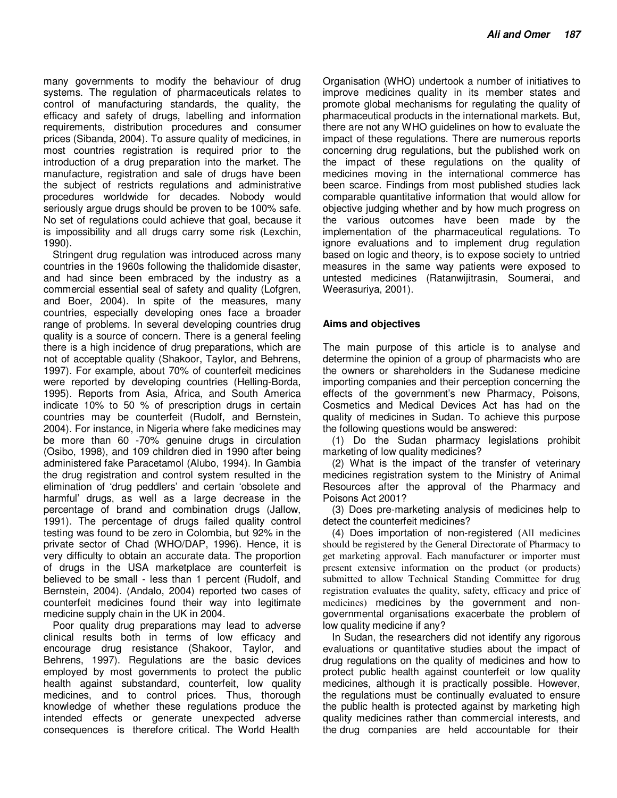many governments to modify the behaviour of drug systems. The regulation of pharmaceuticals relates to control of manufacturing standards, the quality, the efficacy and safety of drugs, labelling and information requirements, distribution procedures and consumer prices (Sibanda, 2004). To assure quality of medicines, in most countries registration is required prior to the introduction of a drug preparation into the market. The manufacture, registration and sale of drugs have been the subject of restricts regulations and administrative procedures worldwide for decades. Nobody would seriously argue drugs should be proven to be 100% safe. No set of regulations could achieve that goal, because it is impossibility and all drugs carry some risk (Lexchin, 1990).

Stringent drug regulation was introduced across many countries in the 1960s following the thalidomide disaster, and had since been embraced by the industry as a commercial essential seal of safety and quality (Lofgren, and Boer, 2004). In spite of the measures, many countries, especially developing ones face a broader range of problems. In several developing countries drug quality is a source of concern. There is a general feeling there is a high incidence of drug preparations, which are not of acceptable quality (Shakoor, Taylor, and Behrens, 1997). For example, about 70% of counterfeit medicines were reported by developing countries (Helling-Borda, 1995). Reports from Asia, Africa, and South America indicate 10% to 50 % of prescription drugs in certain countries may be counterfeit (Rudolf, and Bernstein, 2004). For instance, in Nigeria where fake medicines may be more than 60 -70% genuine drugs in circulation (Osibo, 1998), and 109 children died in 1990 after being administered fake Paracetamol (Alubo, 1994). In Gambia the drug registration and control system resulted in the elimination of 'drug peddlers' and certain 'obsolete and harmful' drugs, as well as a large decrease in the percentage of brand and combination drugs (Jallow, 1991). The percentage of drugs failed quality control testing was found to be zero in Colombia, but 92% in the private sector of Chad (WHO/DAP, 1996). Hence, it is very difficulty to obtain an accurate data. The proportion of drugs in the USA marketplace are counterfeit is believed to be small - less than 1 percent (Rudolf, and Bernstein, 2004). (Andalo, 2004) reported two cases of counterfeit medicines found their way into legitimate medicine supply chain in the UK in 2004.

Poor quality drug preparations may lead to adverse clinical results both in terms of low efficacy and encourage drug resistance (Shakoor, Taylor, and Behrens, 1997). Regulations are the basic devices employed by most governments to protect the public health against substandard, counterfeit, low quality medicines, and to control prices. Thus, thorough knowledge of whether these regulations produce the intended effects or generate unexpected adverse consequences is therefore critical. The World Health

Organisation (WHO) undertook a number of initiatives to improve medicines quality in its member states and promote global mechanisms for regulating the quality of pharmaceutical products in the international markets. But, there are not any WHO guidelines on how to evaluate the impact of these regulations. There are numerous reports concerning drug regulations, but the published work on the impact of these regulations on the quality of medicines moving in the international commerce has been scarce. Findings from most published studies lack comparable quantitative information that would allow for objective judging whether and by how much progress on the various outcomes have been made by the implementation of the pharmaceutical regulations. To ignore evaluations and to implement drug regulation based on logic and theory, is to expose society to untried measures in the same way patients were exposed to untested medicines (Ratanwijitrasin, Soumerai, and Weerasuriya, 2001).

## **Aims and objectives**

The main purpose of this article is to analyse and determine the opinion of a group of pharmacists who are the owners or shareholders in the Sudanese medicine importing companies and their perception concerning the effects of the government's new Pharmacy, Poisons, Cosmetics and Medical Devices Act has had on the quality of medicines in Sudan. To achieve this purpose the following questions would be answered:

(1) Do the Sudan pharmacy legislations prohibit marketing of low quality medicines?

(2) What is the impact of the transfer of veterinary medicines registration system to the Ministry of Animal Resources after the approval of the Pharmacy and Poisons Act 2001?

(3) Does pre-marketing analysis of medicines help to detect the counterfeit medicines?

(4) Does importation of non-registered (All medicines should be registered by the General Directorate of Pharmacy to get marketing approval. Each manufacturer or importer must present extensive information on the product (or products) submitted to allow Technical Standing Committee for drug registration evaluates the quality, safety, efficacy and price of medicines) medicines by the government and nongovernmental organisations exacerbate the problem of low quality medicine if any?

In Sudan, the researchers did not identify any rigorous evaluations or quantitative studies about the impact of drug regulations on the quality of medicines and how to protect public health against counterfeit or low quality medicines, although it is practically possible. However, the regulations must be continually evaluated to ensure the public health is protected against by marketing high quality medicines rather than commercial interests, and the drug companies are held accountable for their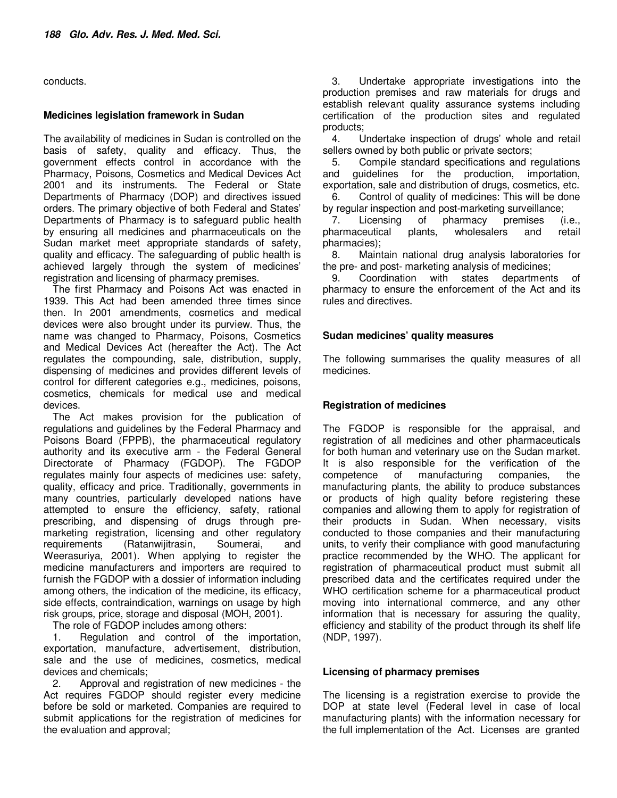conducts.

### **Medicines legislation framework in Sudan**

The availability of medicines in Sudan is controlled on the basis of safety, quality and efficacy. Thus, the government effects control in accordance with the Pharmacy, Poisons, Cosmetics and Medical Devices Act 2001 and its instruments. The Federal or State Departments of Pharmacy (DOP) and directives issued orders. The primary objective of both Federal and States' Departments of Pharmacy is to safeguard public health by ensuring all medicines and pharmaceuticals on the Sudan market meet appropriate standards of safety, quality and efficacy. The safeguarding of public health is achieved largely through the system of medicines' registration and licensing of pharmacy premises.

The first Pharmacy and Poisons Act was enacted in 1939. This Act had been amended three times since then. In 2001 amendments, cosmetics and medical devices were also brought under its purview. Thus, the name was changed to Pharmacy, Poisons, Cosmetics and Medical Devices Act (hereafter the Act). The Act regulates the compounding, sale, distribution, supply, dispensing of medicines and provides different levels of control for different categories e.g., medicines, poisons, cosmetics, chemicals for medical use and medical devices.

The Act makes provision for the publication of regulations and guidelines by the Federal Pharmacy and Poisons Board (FPPB), the pharmaceutical regulatory authority and its executive arm - the Federal General Directorate of Pharmacy (FGDOP). The FGDOP regulates mainly four aspects of medicines use: safety, quality, efficacy and price. Traditionally, governments in many countries, particularly developed nations have attempted to ensure the efficiency, safety, rational prescribing, and dispensing of drugs through premarketing registration, licensing and other regulatory requirements (Ratanwijitrasin, Soumerai, and Weerasuriya, 2001). When applying to register the medicine manufacturers and importers are required to furnish the FGDOP with a dossier of information including among others, the indication of the medicine, its efficacy, side effects, contraindication, warnings on usage by high risk groups, price, storage and disposal (MOH, 2001).

The role of FGDOP includes among others:

1. Regulation and control of the importation, exportation, manufacture, advertisement, distribution, sale and the use of medicines, cosmetics, medical devices and chemicals;

2. Approval and registration of new medicines - the Act requires FGDOP should register every medicine before be sold or marketed. Companies are required to submit applications for the registration of medicines for the evaluation and approval;

3. Undertake appropriate investigations into the production premises and raw materials for drugs and establish relevant quality assurance systems including certification of the production sites and regulated products;<br>4. U

4. Undertake inspection of drugs' whole and retail sellers owned by both public or private sectors;

5. Compile standard specifications and regulations and guidelines for the production, importation, exportation, sale and distribution of drugs, cosmetics, etc.

6. Control of quality of medicines: This will be done by regular inspection and post-marketing surveillance;

7. Licensing of pharmacy premises (i.e., pharmaceutical plants, wholesalers and retail pharmacies);

8. Maintain national drug analysis laboratories for the pre- and post- marketing analysis of medicines;<br>9. Coordination with states department

9. Coordination with states departments of pharmacy to ensure the enforcement of the Act and its rules and directives.

## **Sudan medicines' quality measures**

The following summarises the quality measures of all medicines.

## **Registration of medicines**

The FGDOP is responsible for the appraisal, and registration of all medicines and other pharmaceuticals for both human and veterinary use on the Sudan market. It is also responsible for the verification of the competence of manufacturing companies, the manufacturing plants, the ability to produce substances or products of high quality before registering these companies and allowing them to apply for registration of their products in Sudan. When necessary, visits conducted to those companies and their manufacturing units, to verify their compliance with good manufacturing practice recommended by the WHO. The applicant for registration of pharmaceutical product must submit all prescribed data and the certificates required under the WHO certification scheme for a pharmaceutical product moving into international commerce, and any other information that is necessary for assuring the quality, efficiency and stability of the product through its shelf life (NDP, 1997).

## **Licensing of pharmacy premises**

The licensing is a registration exercise to provide the DOP at state level (Federal level in case of local manufacturing plants) with the information necessary for the full implementation of the Act. Licenses are granted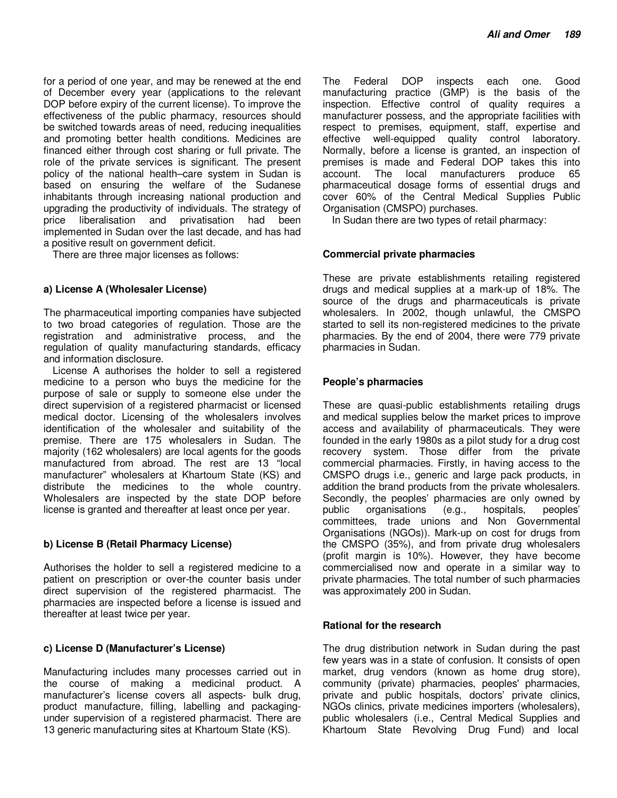for a period of one year, and may be renewed at the end of December every year (applications to the relevant DOP before expiry of the current license). To improve the effectiveness of the public pharmacy, resources should be switched towards areas of need, reducing inequalities and promoting better health conditions. Medicines are financed either through cost sharing or full private. The role of the private services is significant. The present policy of the national health–care system in Sudan is based on ensuring the welfare of the Sudanese inhabitants through increasing national production and upgrading the productivity of individuals. The strategy of price liberalisation and privatisation had been implemented in Sudan over the last decade, and has had a positive result on government deficit.

There are three major licenses as follows:

## **a) License A (Wholesaler License)**

The pharmaceutical importing companies have subjected to two broad categories of regulation. Those are the registration and administrative process, and the regulation of quality manufacturing standards, efficacy and information disclosure.

License A authorises the holder to sell a registered medicine to a person who buys the medicine for the purpose of sale or supply to someone else under the direct supervision of a registered pharmacist or licensed medical doctor. Licensing of the wholesalers involves identification of the wholesaler and suitability of the premise. There are 175 wholesalers in Sudan. The majority (162 wholesalers) are local agents for the goods manufactured from abroad. The rest are 13 "local manufacturer" wholesalers at Khartoum State (KS) and distribute the medicines to the whole country. Wholesalers are inspected by the state DOP before license is granted and thereafter at least once per year.

## **b) License B (Retail Pharmacy License)**

Authorises the holder to sell a registered medicine to a patient on prescription or over-the counter basis under direct supervision of the registered pharmacist. The pharmacies are inspected before a license is issued and thereafter at least twice per year.

## **c) License D (Manufacturer's License)**

Manufacturing includes many processes carried out in the course of making a medicinal product. A manufacturer's license covers all aspects- bulk drug, product manufacture, filling, labelling and packagingunder supervision of a registered pharmacist. There are 13 generic manufacturing sites at Khartoum State (KS).

The Federal DOP inspects each one. Good manufacturing practice (GMP) is the basis of the inspection. Effective control of quality requires a manufacturer possess, and the appropriate facilities with respect to premises, equipment, staff, expertise and effective well-equipped quality control laboratory. Normally, before a license is granted, an inspection of premises is made and Federal DOP takes this into account. The local manufacturers produce 65 pharmaceutical dosage forms of essential drugs and cover 60% of the Central Medical Supplies Public Organisation (CMSPO) purchases.

In Sudan there are two types of retail pharmacy:

#### **Commercial private pharmacies**

These are private establishments retailing registered drugs and medical supplies at a mark-up of 18%. The source of the drugs and pharmaceuticals is private wholesalers. In 2002, though unlawful, the CMSPO started to sell its non-registered medicines to the private pharmacies. By the end of 2004, there were 779 private pharmacies in Sudan.

#### **People's pharmacies**

These are quasi-public establishments retailing drugs and medical supplies below the market prices to improve access and availability of pharmaceuticals. They were founded in the early 1980s as a pilot study for a drug cost recovery system. Those differ from the private commercial pharmacies. Firstly, in having access to the CMSPO drugs i.e., generic and large pack products, in addition the brand products from the private wholesalers. Secondly, the peoples' pharmacies are only owned by public organisations (e.g., hospitals, peoples' public organisations (e.g., hospitals, peoples' committees, trade unions and Non Governmental Organisations (NGOs)). Mark-up on cost for drugs from the CMSPO (35%), and from private drug wholesalers (profit margin is 10%). However, they have become commercialised now and operate in a similar way to private pharmacies. The total number of such pharmacies was approximately 200 in Sudan.

#### **Rational for the research**

The drug distribution network in Sudan during the past few years was in a state of confusion. It consists of open market, drug vendors (known as home drug store), community (private) pharmacies, peoples' pharmacies, private and public hospitals, doctors' private clinics, NGOs clinics, private medicines importers (wholesalers), public wholesalers (i.e., Central Medical Supplies and Khartoum State Revolving Drug Fund) and local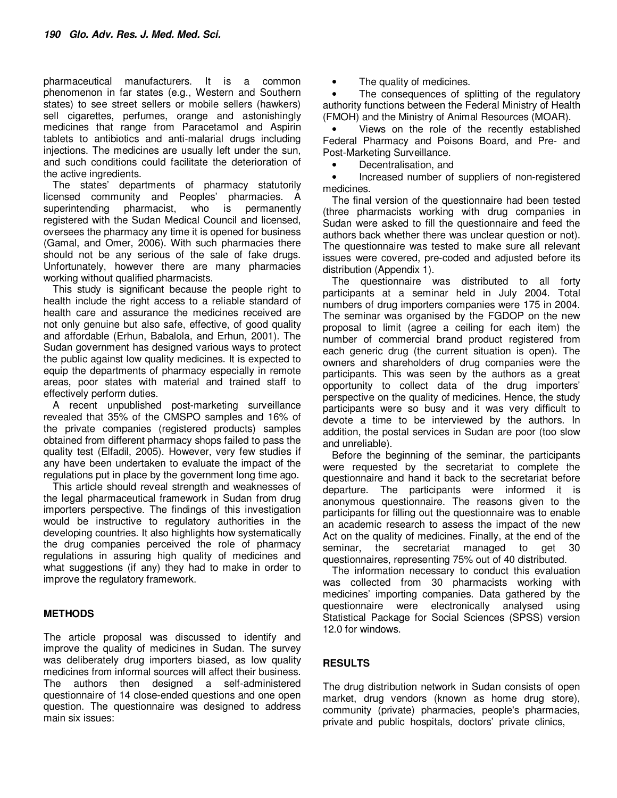pharmaceutical manufacturers. It is a common phenomenon in far states (e.g., Western and Southern states) to see street sellers or mobile sellers (hawkers) sell cigarettes, perfumes, orange and astonishingly medicines that range from Paracetamol and Aspirin tablets to antibiotics and anti-malarial drugs including injections. The medicines are usually left under the sun, and such conditions could facilitate the deterioration of the active ingredients.

The states' departments of pharmacy statutorily licensed community and Peoples' pharmacies. A superintending pharmacist, who is permanently registered with the Sudan Medical Council and licensed, oversees the pharmacy any time it is opened for business (Gamal, and Omer, 2006). With such pharmacies there should not be any serious of the sale of fake drugs. Unfortunately, however there are many pharmacies working without qualified pharmacists.

This study is significant because the people right to health include the right access to a reliable standard of health care and assurance the medicines received are not only genuine but also safe, effective, of good quality and affordable (Erhun, Babalola, and Erhun, 2001). The Sudan government has designed various ways to protect the public against low quality medicines. It is expected to equip the departments of pharmacy especially in remote areas, poor states with material and trained staff to effectively perform duties.

A recent unpublished post-marketing surveillance revealed that 35% of the CMSPO samples and 16% of the private companies (registered products) samples obtained from different pharmacy shops failed to pass the quality test (Elfadil, 2005). However, very few studies if any have been undertaken to evaluate the impact of the regulations put in place by the government long time ago.

This article should reveal strength and weaknesses of the legal pharmaceutical framework in Sudan from drug importers perspective. The findings of this investigation would be instructive to regulatory authorities in the developing countries. It also highlights how systematically the drug companies perceived the role of pharmacy regulations in assuring high quality of medicines and what suggestions (if any) they had to make in order to improve the regulatory framework.

## **METHODS**

The article proposal was discussed to identify and improve the quality of medicines in Sudan. The survey was deliberately drug importers biased, as low quality medicines from informal sources will affect their business. The authors then designed a self-administered questionnaire of 14 close-ended questions and one open question. The questionnaire was designed to address main six issues:

The quality of medicines.

The consequences of splitting of the regulatory authority functions between the Federal Ministry of Health (FMOH) and the Ministry of Animal Resources (MOAR).

• Views on the role of the recently established Federal Pharmacy and Poisons Board, and Pre- and Post-Marketing Surveillance.

• Decentralisation, and

• Increased number of suppliers of non-registered medicines.

The final version of the questionnaire had been tested (three pharmacists working with drug companies in Sudan were asked to fill the questionnaire and feed the authors back whether there was unclear question or not). The questionnaire was tested to make sure all relevant issues were covered, pre-coded and adjusted before its distribution (Appendix 1).

The questionnaire was distributed to all forty participants at a seminar held in July 2004. Total numbers of drug importers companies were 175 in 2004. The seminar was organised by the FGDOP on the new proposal to limit (agree a ceiling for each item) the number of commercial brand product registered from each generic drug (the current situation is open). The owners and shareholders of drug companies were the participants. This was seen by the authors as a great opportunity to collect data of the drug importers' perspective on the quality of medicines. Hence, the study participants were so busy and it was very difficult to devote a time to be interviewed by the authors. In addition, the postal services in Sudan are poor (too slow and unreliable).

Before the beginning of the seminar, the participants were requested by the secretariat to complete the questionnaire and hand it back to the secretariat before departure. The participants were informed it is anonymous questionnaire. The reasons given to the participants for filling out the questionnaire was to enable an academic research to assess the impact of the new Act on the quality of medicines. Finally, at the end of the seminar, the secretariat managed to get 30 questionnaires, representing 75% out of 40 distributed.

The information necessary to conduct this evaluation was collected from 30 pharmacists working with medicines' importing companies. Data gathered by the questionnaire were electronically analysed using Statistical Package for Social Sciences (SPSS) version 12.0 for windows.

## **RESULTS**

The drug distribution network in Sudan consists of open market, drug vendors (known as home drug store), community (private) pharmacies, people's pharmacies, private and public hospitals, doctors' private clinics,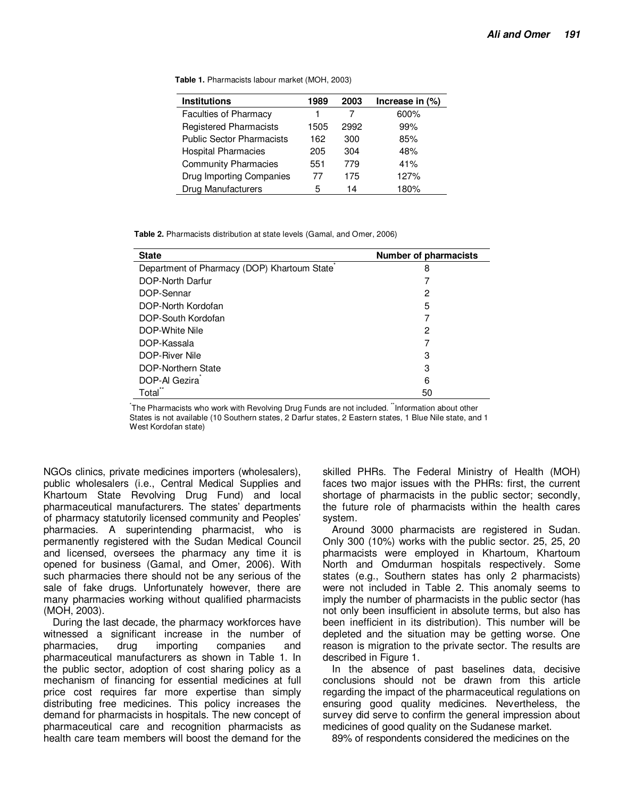**Table 1.** Pharmacists labour market (MOH, 2003)

| <b>Institutions</b>              | 1989 | 2003 | Increase in (%) |
|----------------------------------|------|------|-----------------|
| <b>Faculties of Pharmacy</b>     |      |      | 600%            |
| <b>Registered Pharmacists</b>    | 1505 | 2992 | 99%             |
| <b>Public Sector Pharmacists</b> | 162  | 300  | 85%             |
| <b>Hospital Pharmacies</b>       | 205  | 304  | 48%             |
| <b>Community Pharmacies</b>      | 551  | 779  | 41%             |
| Drug Importing Companies         | 77   | 175  | 127%            |
| <b>Drug Manufacturers</b>        | 5    | 14   | 180%            |

**Table 2.** Pharmacists distribution at state levels (Gamal, and Omer, 2006)

| <b>State</b>                                | <b>Number of pharmacists</b> |
|---------------------------------------------|------------------------------|
| Department of Pharmacy (DOP) Khartoum State | 8                            |
| DOP-North Darfur                            |                              |
| DOP-Sennar                                  | 2                            |
| DOP-North Kordofan                          | 5                            |
| DOP-South Kordofan                          | 7                            |
| DOP-White Nile                              | 2                            |
| DOP-Kassala                                 | 7                            |
| DOP-River Nile                              | 3                            |
| DOP-Northern State                          | 3                            |
| DOP-Al Gezira                               | 6                            |
| Total                                       | 50                           |

The Pharmacists who work with Revolving Drug Funds are not included. "Information about other States is not available (10 Southern states, 2 Darfur states, 2 Eastern states, 1 Blue Nile state, and 1 West Kordofan state)

NGOs clinics, private medicines importers (wholesalers), public wholesalers (i.e., Central Medical Supplies and Khartoum State Revolving Drug Fund) and local pharmaceutical manufacturers. The states' departments of pharmacy statutorily licensed community and Peoples' pharmacies. A superintending pharmacist, who is permanently registered with the Sudan Medical Council and licensed, oversees the pharmacy any time it is opened for business (Gamal, and Omer, 2006). With such pharmacies there should not be any serious of the sale of fake drugs. Unfortunately however, there are many pharmacies working without qualified pharmacists (MOH, 2003).

During the last decade, the pharmacy workforces have witnessed a significant increase in the number of pharmacies, drug importing companies and pharmaceutical manufacturers as shown in Table 1. In the public sector, adoption of cost sharing policy as a mechanism of financing for essential medicines at full price cost requires far more expertise than simply distributing free medicines. This policy increases the demand for pharmacists in hospitals. The new concept of pharmaceutical care and recognition pharmacists as health care team members will boost the demand for the

skilled PHRs. The Federal Ministry of Health (MOH) faces two major issues with the PHRs: first, the current shortage of pharmacists in the public sector; secondly, the future role of pharmacists within the health cares system.

Around 3000 pharmacists are registered in Sudan. Only 300 (10%) works with the public sector. 25, 25, 20 pharmacists were employed in Khartoum, Khartoum North and Omdurman hospitals respectively. Some states (e.g., Southern states has only 2 pharmacists) were not included in Table 2. This anomaly seems to imply the number of pharmacists in the public sector (has not only been insufficient in absolute terms, but also has been inefficient in its distribution). This number will be depleted and the situation may be getting worse. One reason is migration to the private sector. The results are described in Figure 1.

In the absence of past baselines data, decisive conclusions should not be drawn from this article regarding the impact of the pharmaceutical regulations on ensuring good quality medicines. Nevertheless, the survey did serve to confirm the general impression about medicines of good quality on the Sudanese market.

89% of respondents considered the medicines on the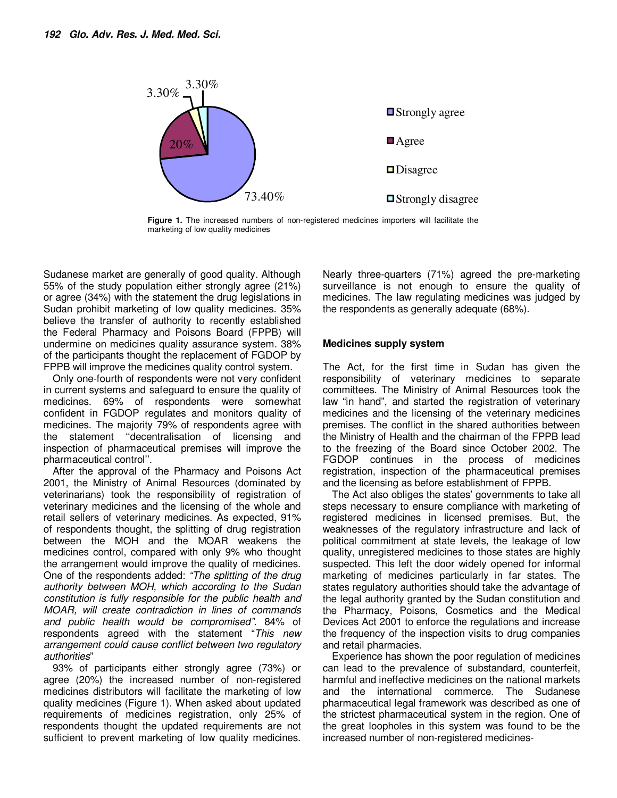

**Figure 1.** The increased numbers of non-registered medicines importers will facilitate the marketing of low quality medicines

Sudanese market are generally of good quality. Although 55% of the study population either strongly agree (21%) or agree (34%) with the statement the drug legislations in Sudan prohibit marketing of low quality medicines. 35% believe the transfer of authority to recently established the Federal Pharmacy and Poisons Board (FPPB) will undermine on medicines quality assurance system. 38% of the participants thought the replacement of FGDOP by FPPB will improve the medicines quality control system.

Only one-fourth of respondents were not very confident in current systems and safeguard to ensure the quality of medicines. 69% of respondents were somewhat confident in FGDOP regulates and monitors quality of medicines. The majority 79% of respondents agree with the statement ''decentralisation of licensing and inspection of pharmaceutical premises will improve the pharmaceutical control''.

After the approval of the Pharmacy and Poisons Act 2001, the Ministry of Animal Resources (dominated by veterinarians) took the responsibility of registration of veterinary medicines and the licensing of the whole and retail sellers of veterinary medicines. As expected, 91% of respondents thought, the splitting of drug registration between the MOH and the MOAR weakens the medicines control, compared with only 9% who thought the arrangement would improve the quality of medicines. One of the respondents added: "The splitting of the drug authority between MOH, which according to the Sudan constitution is fully responsible for the public health and MOAR, will create contradiction in lines of commands and public health would be compromised". 84% of respondents agreed with the statement "This new arrangement could cause conflict between two regulatory authorities"

93% of participants either strongly agree (73%) or agree (20%) the increased number of non-registered medicines distributors will facilitate the marketing of low quality medicines (Figure 1). When asked about updated requirements of medicines registration, only 25% of respondents thought the updated requirements are not sufficient to prevent marketing of low quality medicines. Nearly three-quarters (71%) agreed the pre-marketing surveillance is not enough to ensure the quality of medicines. The law regulating medicines was judged by the respondents as generally adequate (68%).

## **Medicines supply system**

The Act, for the first time in Sudan has given the responsibility of veterinary medicines to separate committees. The Ministry of Animal Resources took the law "in hand", and started the registration of veterinary medicines and the licensing of the veterinary medicines premises. The conflict in the shared authorities between the Ministry of Health and the chairman of the FPPB lead to the freezing of the Board since October 2002. The FGDOP continues in the process of medicines registration, inspection of the pharmaceutical premises and the licensing as before establishment of FPPB.

The Act also obliges the states' governments to take all steps necessary to ensure compliance with marketing of registered medicines in licensed premises. But, the weaknesses of the regulatory infrastructure and lack of political commitment at state levels, the leakage of low quality, unregistered medicines to those states are highly suspected. This left the door widely opened for informal marketing of medicines particularly in far states. The states regulatory authorities should take the advantage of the legal authority granted by the Sudan constitution and the Pharmacy, Poisons, Cosmetics and the Medical Devices Act 2001 to enforce the regulations and increase the frequency of the inspection visits to drug companies and retail pharmacies.

Experience has shown the poor regulation of medicines can lead to the prevalence of substandard, counterfeit, harmful and ineffective medicines on the national markets and the international commerce. The Sudanese pharmaceutical legal framework was described as one of the strictest pharmaceutical system in the region. One of the great loopholes in this system was found to be the increased number of non-registered medicines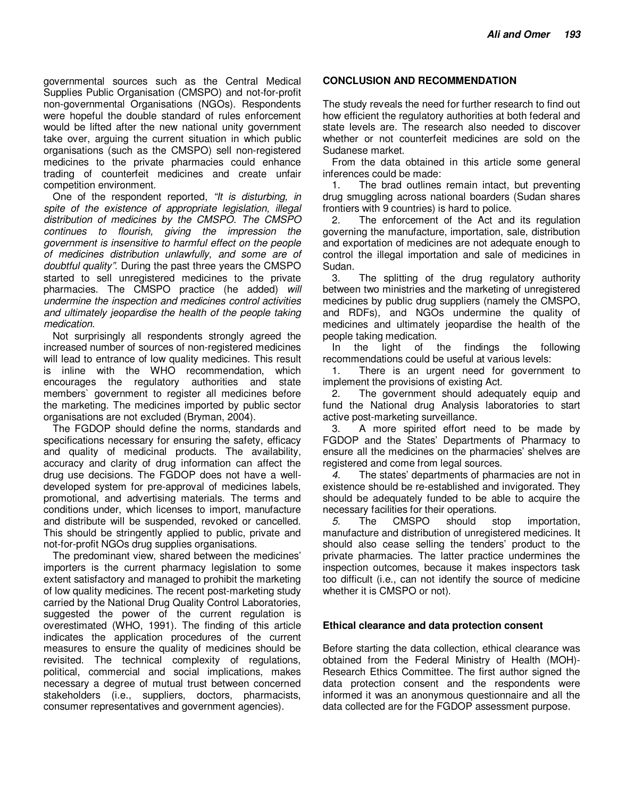governmental sources such as the Central Medical Supplies Public Organisation (CMSPO) and not-for-profit non-governmental Organisations (NGOs). Respondents were hopeful the double standard of rules enforcement would be lifted after the new national unity government take over, arguing the current situation in which public organisations (such as the CMSPO) sell non-registered medicines to the private pharmacies could enhance trading of counterfeit medicines and create unfair competition environment.

One of the respondent reported, "It is disturbing, in spite of the existence of appropriate legislation, illegal distribution of medicines by the CMSPO. The CMSPO continues to flourish, giving the impression the government is insensitive to harmful effect on the people of medicines distribution unlawfully, and some are of doubtful quality". During the past three years the CMSPO started to sell unregistered medicines to the private pharmacies. The CMSPO practice (he added) will undermine the inspection and medicines control activities and ultimately jeopardise the health of the people taking medication.

Not surprisingly all respondents strongly agreed the increased number of sources of non-registered medicines will lead to entrance of low quality medicines. This result is inline with the WHO recommendation, which encourages the regulatory authorities and state members` government to register all medicines before the marketing. The medicines imported by public sector organisations are not excluded (Bryman, 2004).

The FGDOP should define the norms, standards and specifications necessary for ensuring the safety, efficacy and quality of medicinal products. The availability, accuracy and clarity of drug information can affect the drug use decisions. The FGDOP does not have a welldeveloped system for pre-approval of medicines labels, promotional, and advertising materials. The terms and conditions under, which licenses to import, manufacture and distribute will be suspended, revoked or cancelled. This should be stringently applied to public, private and not-for-profit NGOs drug supplies organisations.

The predominant view, shared between the medicines' importers is the current pharmacy legislation to some extent satisfactory and managed to prohibit the marketing of low quality medicines. The recent post-marketing study carried by the National Drug Quality Control Laboratories, suggested the power of the current regulation is overestimated (WHO, 1991). The finding of this article indicates the application procedures of the current measures to ensure the quality of medicines should be revisited. The technical complexity of regulations, political, commercial and social implications, makes necessary a degree of mutual trust between concerned stakeholders (i.e., suppliers, doctors, pharmacists, consumer representatives and government agencies).

## **CONCLUSION AND RECOMMENDATION**

The study reveals the need for further research to find out how efficient the regulatory authorities at both federal and state levels are. The research also needed to discover whether or not counterfeit medicines are sold on the Sudanese market.

From the data obtained in this article some general inferences could be made:

1. The brad outlines remain intact, but preventing drug smuggling across national boarders (Sudan shares frontiers with 9 countries) is hard to police.

2. The enforcement of the Act and its regulation governing the manufacture, importation, sale, distribution and exportation of medicines are not adequate enough to control the illegal importation and sale of medicines in Sudan.<br>3

The splitting of the drug regulatory authority between two ministries and the marketing of unregistered medicines by public drug suppliers (namely the CMSPO, and RDFs), and NGOs undermine the quality of medicines and ultimately jeopardise the health of the people taking medication.

In the light of the findings the following recommendations could be useful at various levels:

1. There is an urgent need for government to implement the provisions of existing Act.

2. The government should adequately equip and fund the National drug Analysis laboratories to start active post-marketing surveillance.

3. A more spirited effort need to be made by FGDOP and the States' Departments of Pharmacy to ensure all the medicines on the pharmacies' shelves are registered and come from legal sources.

4. The states' departments of pharmacies are not in existence should be re-established and invigorated. They should be adequately funded to be able to acquire the necessary facilities for their operations.

5. The CMSPO should stop importation, manufacture and distribution of unregistered medicines. It should also cease selling the tenders' product to the private pharmacies. The latter practice undermines the inspection outcomes, because it makes inspectors task too difficult (i.e., can not identify the source of medicine whether it is CMSPO or not).

## **Ethical clearance and data protection consent**

Before starting the data collection, ethical clearance was obtained from the Federal Ministry of Health (MOH)- Research Ethics Committee. The first author signed the data protection consent and the respondents were informed it was an anonymous questionnaire and all the data collected are for the FGDOP assessment purpose.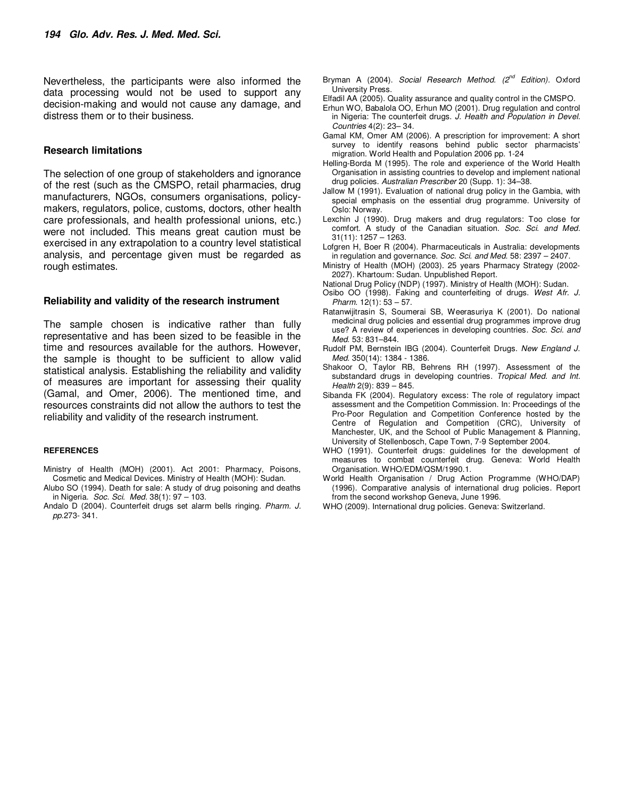Nevertheless, the participants were also informed the data processing would not be used to support any decision-making and would not cause any damage, and distress them or to their business.

#### **Research limitations**

The selection of one group of stakeholders and ignorance of the rest (such as the CMSPO, retail pharmacies, drug manufacturers, NGOs, consumers organisations, policymakers, regulators, police, customs, doctors, other health care professionals, and health professional unions, etc.) were not included. This means great caution must be exercised in any extrapolation to a country level statistical analysis, and percentage given must be regarded as rough estimates.

#### **Reliability and validity of the research instrument**

The sample chosen is indicative rather than fully representative and has been sized to be feasible in the time and resources available for the authors. However, the sample is thought to be sufficient to allow valid statistical analysis. Establishing the reliability and validity of measures are important for assessing their quality (Gamal, and Omer, 2006). The mentioned time, and resources constraints did not allow the authors to test the reliability and validity of the research instrument.

#### **REFERENCES**

- Ministry of Health (MOH) (2001). Act 2001: Pharmacy, Poisons, Cosmetic and Medical Devices. Ministry of Health (MOH): Sudan.
- Alubo SO (1994). Death for sale: A study of drug poisoning and deaths in Nigeria. Soc. Sci. Med. 38(1): 97 – 103.
- Andalo D (2004). Counterfeit drugs set alarm bells ringing. Pharm. J. pp.273- 341.
- Bryman A (2004). Social Research Method. (2<sup>nd</sup> Edition). Oxford University Press.
- Elfadil AA (2005). Quality assurance and quality control in the CMSPO.
- Erhun WO, Babalola OO, Erhun MO (2001). Drug regulation and control in Nigeria: The counterfeit drugs. J. Health and Population in Devel. Countries 4(2): 23– 34.
- Gamal KM, Omer AM (2006). A prescription for improvement: A short survey to identify reasons behind public sector pharmacists' migration. World Health and Population 2006 pp. 1-24
- Helling-Borda M (1995). The role and experience of the World Health Organisation in assisting countries to develop and implement national drug policies. Australian Prescriber 20 (Supp. 1): 34–38.
- Jallow M (1991). Evaluation of national drug policy in the Gambia, with special emphasis on the essential drug programme. University of Oslo: Norway.
- Lexchin J (1990). Drug makers and drug regulators: Too close for comfort. A study of the Canadian situation. Soc. Sci. and Med. 31(11): 1257 – 1263.
- Lofgren H, Boer R (2004). Pharmaceuticals in Australia: developments in regulation and governance. Soc. Sci. and Med. 58: 2397 - 2407.
- Ministry of Health (MOH) (2003). 25 years Pharmacy Strategy (2002- 2027). Khartoum: Sudan. Unpublished Report.
- National Drug Policy (NDP) (1997). Ministry of Health (MOH): Sudan.
- Osibo OO (1998). Faking and counterfeiting of drugs. West Afr. J. Pharm. 12(1): 53 – 57.
- Ratanwijitrasin S, Soumerai SB, Weerasuriya K (2001). Do national medicinal drug policies and essential drug programmes improve drug use? A review of experiences in developing countries. Soc. Sci. and Med. 53: 831–844.
- Rudolf PM, Bernstein IBG (2004). Counterfeit Drugs. New England J. Med. 350(14): 1384 - 1386.
- Shakoor O, Taylor RB, Behrens RH (1997). Assessment of the substandard drugs in developing countries. Tropical Med. and Int. Health 2(9): 839 – 845.
- Sibanda FK (2004). Regulatory excess: The role of regulatory impact assessment and the Competition Commission. In: Proceedings of the Pro-Poor Regulation and Competition Conference hosted by the Centre of Regulation and Competition (CRC), University of Manchester, UK, and the School of Public Management & Planning, University of Stellenbosch, Cape Town, 7-9 September 2004.
- WHO (1991). Counterfeit drugs: guidelines for the development of measures to combat counterfeit drug. Geneva: World Health Organisation. WHO/EDM/QSM/1990.1.
- World Health Organisation / Drug Action Programme (WHO/DAP) (1996). Comparative analysis of international drug policies. Report from the second workshop Geneva, June 1996.
- WHO (2009). International drug policies. Geneva: Switzerland.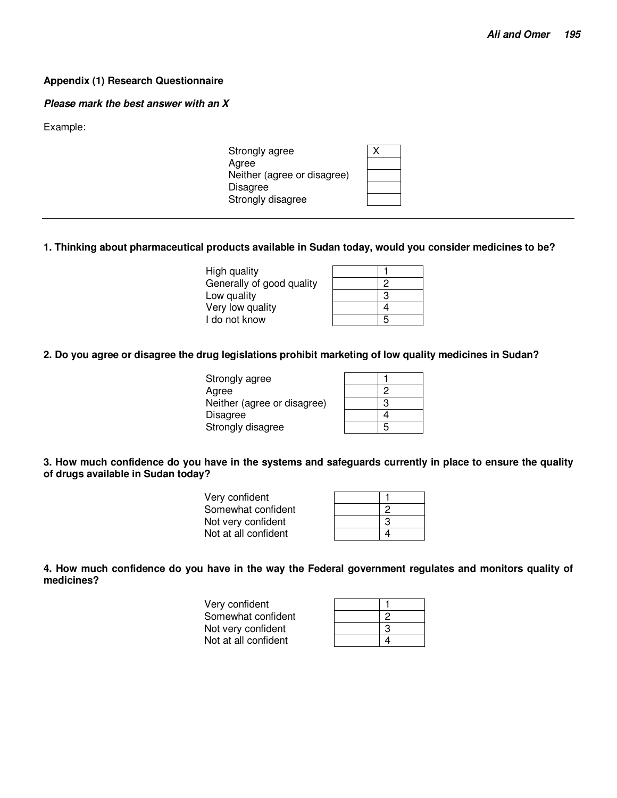## **Appendix (1) Research Questionnaire**

#### **Please mark the best answer with an X**

Example:

| Strongly agree              |  |
|-----------------------------|--|
| Agree                       |  |
| Neither (agree or disagree) |  |
| Disagree                    |  |
| Strongly disagree           |  |
|                             |  |

## **1. Thinking about pharmaceutical products available in Sudan today, would you consider medicines to be?**

High quality 1 Generally of good quality 2 Low quality Very low quality 4 I do not know

| $\overline{c}$ |
|----------------|
| 3              |
| 4              |
| 5              |

## **2. Do you agree or disagree the drug legislations prohibit marketing of low quality medicines in Sudan?**

| Strongly agree              |   |
|-----------------------------|---|
| Agree                       | っ |
| Neither (agree or disagree) | з |
| <b>Disagree</b>             |   |
| Strongly disagree           | 5 |
|                             |   |

## **3. How much confidence do you have in the systems and safeguards currently in place to ensure the quality of drugs available in Sudan today?**

| Very confident       |   |
|----------------------|---|
| Somewhat confident   |   |
| Not very confident   | 3 |
| Not at all confident |   |

**4. How much confidence do you have in the way the Federal government regulates and monitors quality of medicines?** 

| Very confident       |   |
|----------------------|---|
| Somewhat confident   |   |
| Not very confident   | ാ |
| Not at all confident |   |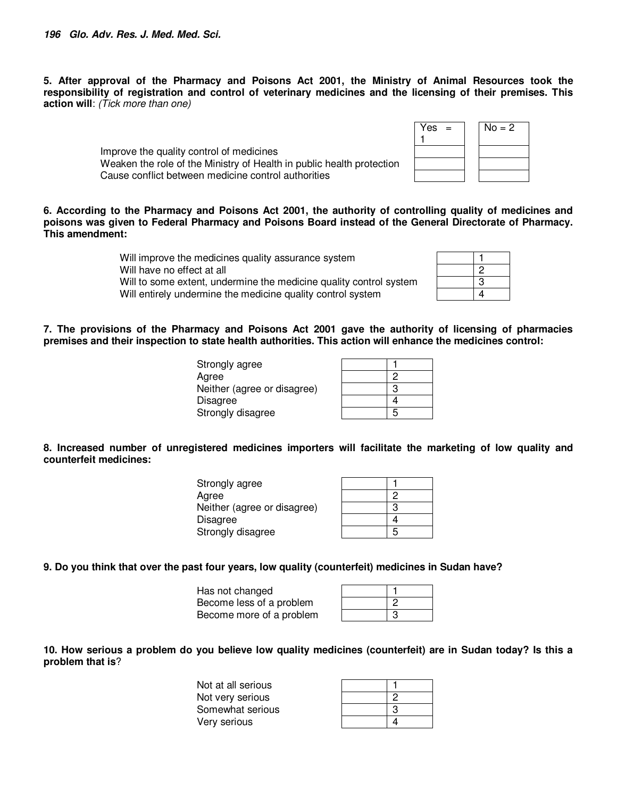**5. After approval of the Pharmacy and Poisons Act 2001, the Ministry of Animal Resources took the responsibility of registration and control of veterinary medicines and the licensing of their premises. This action will**: (Tick more than one)

> Improve the quality control of medicines Weaken the role of the Ministry of Health in public health protection Cause conflict between medicine control authorities

**6. According to the Pharmacy and Poisons Act 2001, the authority of controlling quality of medicines and poisons was given to Federal Pharmacy and Poisons Board instead of the General Directorate of Pharmacy. This amendment:** 

> Will improve the medicines quality assurance system Will have no effect at all Will to some extent, undermine the medicine quality control system Will entirely undermine the medicine quality control system

| 2 |
|---|
| 3 |
| 4 |

 $No = 2$ 

 $Yes =$ 1

**7. The provisions of the Pharmacy and Poisons Act 2001 gave the authority of licensing of pharmacies premises and their inspection to state health authorities. This action will enhance the medicines control:** 

> Strongly agree Agree Neither (agree or disagree) 3 **Disagree** Strongly disagree

| 2 |
|---|
| 3 |
| 4 |
| 5 |

**8. Increased number of unregistered medicines importers will facilitate the marketing of low quality and counterfeit medicines:** 

| Strongly agree              |   |
|-----------------------------|---|
| Agree                       |   |
| Neither (agree or disagree) | າ |
| Disagree                    |   |
| Strongly disagree           |   |

## **9. Do you think that over the past four years, low quality (counterfeit) medicines in Sudan have?**

Has not changed 1 Become less of a problem 2 Become more of a problem 3

**10. How serious a problem do you believe low quality medicines (counterfeit) are in Sudan today? Is this a problem that is**?

| Not at all serious |   |
|--------------------|---|
| Not very serious   |   |
| Somewhat serious   | ົ |
| Very serious       |   |

| 2 |
|---|
| 3 |
| 2 |